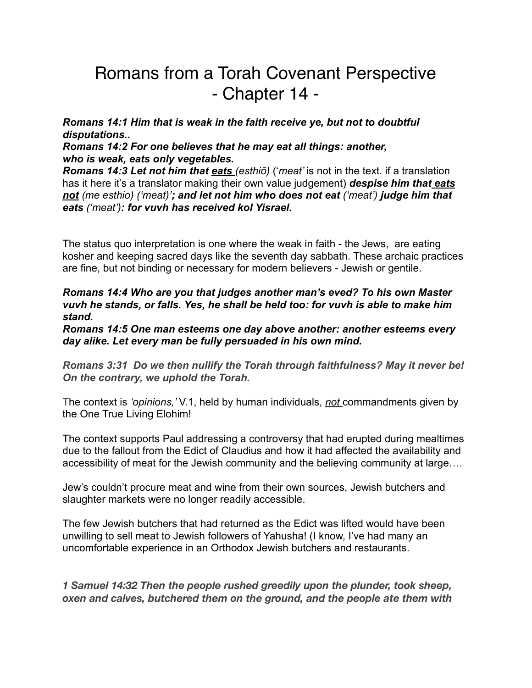## Romans from a Torah Covenant Perspective - Chapter 14 -

*Romans 14:1 Him that is weak in the faith receive ye, but not to doubtful disputations..* 

*Romans 14:2 For one believes that he may eat all things: another, who is weak, eats only vegetables.*

*Romans 14:3 Let not him that eats (esthiō)* ('*meat'* is not in the text. if a translation has it here it's a translator making their own value judgement) *despise him that eats not (me esthio) ('meat)'; and let not him who does not eat ('meat') judge him that eats ('meat'): for vuvh has received kol Yisrael.*

The status quo interpretation is one where the weak in faith - the Jews, are eating kosher and keeping sacred days like the seventh day sabbath. These archaic practices are fine, but not binding or necessary for modern believers - Jewish or gentile.

## *Romans 14:4 Who are you that judges another man's eved? To his own Master vuvh he stands, or falls. Yes, he shall be held too: for vuvh is able to make him stand.*

*Romans 14:5 One man esteems one day above another: another esteems every day alike. Let every man be fully persuaded in his own mind.* 

*Romans 3:31 Do we then nullify the Torah through faithfulness? May it never be! On the contrary, we uphold the Torah.*

The context is *'opinions,'* V.1, held by human individuals, *not* commandments given by the One True Living Elohim!

The context supports Paul addressing a controversy that had erupted during mealtimes due to the fallout from the Edict of Claudius and how it had affected the availability and accessibility of meat for the Jewish community and the believing community at large….

Jew's couldn't procure meat and wine from their own sources, Jewish butchers and slaughter markets were no longer readily accessible.

The few Jewish butchers that had returned as the Edict was lifted would have been unwilling to sell meat to Jewish followers of Yahusha! (I know, I've had many an uncomfortable experience in an Orthodox Jewish butchers and restaurants.

*1 Samuel 14:32 Then the people rushed greedily upon the plunder, took sheep, oxen and calves, butchered them on the ground, and the people ate them with*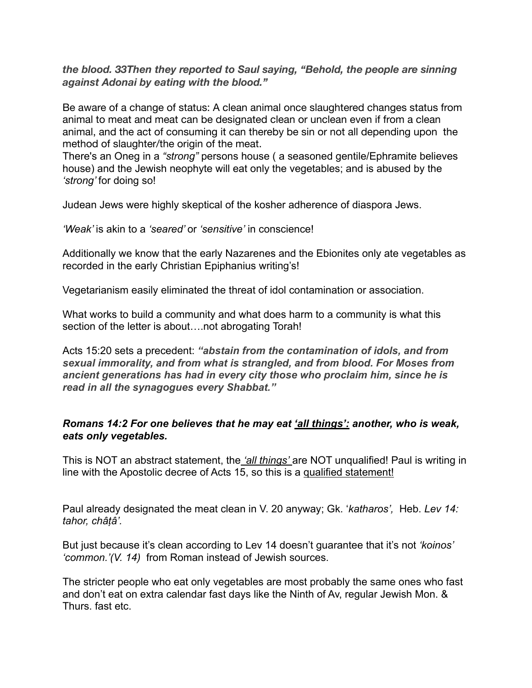## *the blood. 33Then they reported to Saul saying, "Behold, the people are sinning against Adonai by eating with the blood."*

Be aware of a change of status: A clean animal once slaughtered changes status from animal to meat and meat can be designated clean or unclean even if from a clean animal, and the act of consuming it can thereby be sin or not all depending upon the method of slaughter/the origin of the meat.

There's an Oneg in a *"strong"* persons house ( a seasoned gentile/Ephramite believes house) and the Jewish neophyte will eat only the vegetables; and is abused by the *'strong'* for doing so!

Judean Jews were highly skeptical of the kosher adherence of diaspora Jews.

*'Weak'* is akin to a *'seared'* or *'sensitive'* in conscience!

Additionally we know that the early Nazarenes and the Ebionites only ate vegetables as recorded in the early Christian Epiphanius writing's!

Vegetarianism easily eliminated the threat of idol contamination or association.

What works to build a community and what does harm to a community is what this section of the letter is about....not abrogating Torah!

Acts 15:20 sets a precedent: *"abstain from the contamination of idols, and from sexual immorality, and from what is strangled, and from blood. For Moses from ancient generations has had in every city those who proclaim him, since he is read in all the synagogues every Shabbat."*

## *Romans 14:2 For one believes that he may eat 'all things': another, who is weak, eats only vegetables.*

This is NOT an abstract statement, the *'all things'* are NOT unqualified! Paul is writing in line with the Apostolic decree of Acts 15, so this is a qualified statement!

Paul already designated the meat clean in V. 20 anyway; Gk. '*katharos',* Heb. *Lev 14: tahor, châṭâ'.* 

But just because it's clean according to Lev 14 doesn't guarantee that it's not *'koinos' 'common.'(V. 14)* from Roman instead of Jewish sources.

The stricter people who eat only vegetables are most probably the same ones who fast and don't eat on extra calendar fast days like the Ninth of Av, regular Jewish Mon. & Thurs. fast etc.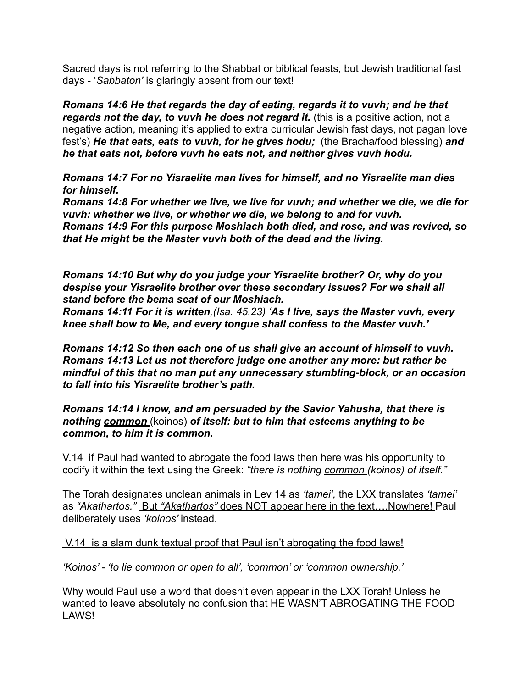Sacred days is not referring to the Shabbat or biblical feasts, but Jewish traditional fast days - '*Sabbaton'* is glaringly absent from our text!

*Romans 14:6 He that regards the day of eating, regards it to vuvh; and he that*  regards not the day, to vuvh he does not regard it. (this is a positive action, not a negative action, meaning it's applied to extra curricular Jewish fast days, not pagan love fest's) *He that eats, eats to vuvh, for he gives hodu;* (the Bracha/food blessing) *and he that eats not, before vuvh he eats not, and neither gives vuvh hodu.*

*Romans 14:7 For no Yisraelite man lives for himself, and no Yisraelite man dies for himself.* 

*Romans 14:8 For whether we live, we live for vuvh; and whether we die, we die for vuvh: whether we live, or whether we die, we belong to and for vuvh. Romans 14:9 For this purpose Moshiach both died, and rose, and was revived, so that He might be the Master vuvh both of the dead and the living.*

*Romans 14:10 But why do you judge your Yisraelite brother? Or, why do you despise your Yisraelite brother over these secondary issues? For we shall all stand before the bema seat of our Moshiach.* 

*Romans 14:11 For it is written,(Isa. 45.23) 'As I live, says the Master vuvh, every knee shall bow to Me, and every tongue shall confess to the Master vuvh.'* 

*Romans 14:12 So then each one of us shall give an account of himself to vuvh. Romans 14:13 Let us not therefore judge one another any more: but rather be mindful of this that no man put any unnecessary stumbling-block, or an occasion to fall into his Yisraelite brother's path.*

*Romans 14:14 I know, and am persuaded by the Savior Yahusha, that there is nothing common* (koinos) *of itself: but to him that esteems anything to be common, to him it is common.*

V.14 if Paul had wanted to abrogate the food laws then here was his opportunity to codify it within the text using the Greek: *"there is nothing common (koinos) of itself."* 

The Torah designates unclean animals in Lev 14 as *'tamei',* the LXX translates *'tamei'*  as *"Akathartos."* But *"Akathartos"* does NOT appear here in the text….Nowhere! Paul deliberately uses *'koinos'* instead.

V.14 is a slam dunk textual proof that Paul isn't abrogating the food laws!

*'Koinos' - 'to lie common or open to all', 'common' or 'common ownership.'* 

Why would Paul use a word that doesn't even appear in the LXX Torah! Unless he wanted to leave absolutely no confusion that HE WASN'T ABROGATING THE FOOD LAWS!